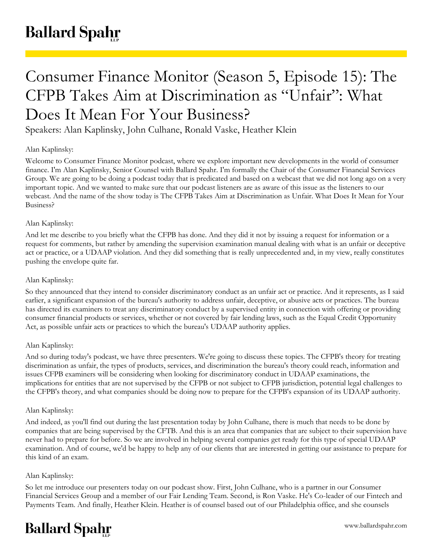# Consumer Finance Monitor (Season 5, Episode 15): The CFPB Takes Aim at Discrimination as "Unfair": What Does It Mean For Your Business?

Speakers: Alan Kaplinsky, John Culhane, Ronald Vaske, Heather Klein

# Alan Kaplinsky:

Welcome to Consumer Finance Monitor podcast, where we explore important new developments in the world of consumer finance. I'm Alan Kaplinsky, Senior Counsel with Ballard Spahr. I'm formally the Chair of the Consumer Financial Services Group. We are going to be doing a podcast today that is predicated and based on a webcast that we did not long ago on a very important topic. And we wanted to make sure that our podcast listeners are as aware of this issue as the listeners to our webcast. And the name of the show today is The CFPB Takes Aim at Discrimination as Unfair. What Does It Mean for Your Business?

# Alan Kaplinsky:

And let me describe to you briefly what the CFPB has done. And they did it not by issuing a request for information or a request for comments, but rather by amending the supervision examination manual dealing with what is an unfair or deceptive act or practice, or a UDAAP violation. And they did something that is really unprecedented and, in my view, really constitutes pushing the envelope quite far.

## Alan Kaplinsky:

So they announced that they intend to consider discriminatory conduct as an unfair act or practice. And it represents, as I said earlier, a significant expansion of the bureau's authority to address unfair, deceptive, or abusive acts or practices. The bureau has directed its examiners to treat any discriminatory conduct by a supervised entity in connection with offering or providing consumer financial products or services, whether or not covered by fair lending laws, such as the Equal Credit Opportunity Act, as possible unfair acts or practices to which the bureau's UDAAP authority applies.

# Alan Kaplinsky:

And so during today's podcast, we have three presenters. We're going to discuss these topics. The CFPB's theory for treating discrimination as unfair, the types of products, services, and discrimination the bureau's theory could reach, information and issues CFPB examiners will be considering when looking for discriminatory conduct in UDAAP examinations, the implications for entities that are not supervised by the CFPB or not subject to CFPB jurisdiction, potential legal challenges to the CFPB's theory, and what companies should be doing now to prepare for the CFPB's expansion of its UDAAP authority.

#### Alan Kaplinsky:

And indeed, as you'll find out during the last presentation today by John Culhane, there is much that needs to be done by companies that are being supervised by the CFTB. And this is an area that companies that are subject to their supervision have never had to prepare for before. So we are involved in helping several companies get ready for this type of special UDAAP examination. And of course, we'd be happy to help any of our clients that are interested in getting our assistance to prepare for this kind of an exam.

# Alan Kaplinsky:

So let me introduce our presenters today on our podcast show. First, John Culhane, who is a partner in our Consumer Financial Services Group and a member of our Fair Lending Team. Second, is Ron Vaske. He's Co-leader of our Fintech and Payments Team. And finally, Heather Klein. Heather is of counsel based out of our Philadelphia office, and she counsels

# **Ballard Spahr**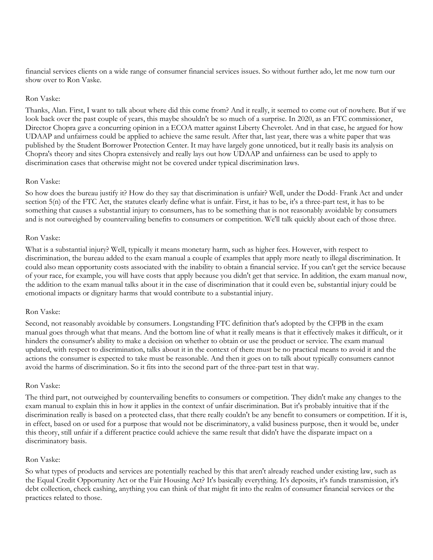financial services clients on a wide range of consumer financial services issues. So without further ado, let me now turn our show over to Ron Vaske.

#### Ron Vaske:

Thanks, Alan. First, I want to talk about where did this come from? And it really, it seemed to come out of nowhere. But if we look back over the past couple of years, this maybe shouldn't be so much of a surprise. In 2020, as an FTC commissioner, Director Chopra gave a concurring opinion in a ECOA matter against Liberty Chevrolet. And in that case, he argued for how UDAAP and unfairness could be applied to achieve the same result. After that, last year, there was a white paper that was published by the Student Borrower Protection Center. It may have largely gone unnoticed, but it really basis its analysis on Chopra's theory and sites Chopra extensively and really lays out how UDAAP and unfairness can be used to apply to discrimination cases that otherwise might not be covered under typical discrimination laws.

#### Ron Vaske:

So how does the bureau justify it? How do they say that discrimination is unfair? Well, under the Dodd- Frank Act and under section 5(n) of the FTC Act, the statutes clearly define what is unfair. First, it has to be, it's a three-part test, it has to be something that causes a substantial injury to consumers, has to be something that is not reasonably avoidable by consumers and is not outweighed by countervailing benefits to consumers or competition. We'll talk quickly about each of those three.

#### Ron Vaske:

What is a substantial injury? Well, typically it means monetary harm, such as higher fees. However, with respect to discrimination, the bureau added to the exam manual a couple of examples that apply more neatly to illegal discrimination. It could also mean opportunity costs associated with the inability to obtain a financial service. If you can't get the service because of your race, for example, you will have costs that apply because you didn't get that service. In addition, the exam manual now, the addition to the exam manual talks about it in the case of discrimination that it could even be, substantial injury could be emotional impacts or dignitary harms that would contribute to a substantial injury.

#### Ron Vaske:

Second, not reasonably avoidable by consumers. Longstanding FTC definition that's adopted by the CFPB in the exam manual goes through what that means. And the bottom line of what it really means is that it effectively makes it difficult, or it hinders the consumer's ability to make a decision on whether to obtain or use the product or service. The exam manual updated, with respect to discrimination, talks about it in the context of there must be no practical means to avoid it and the actions the consumer is expected to take must be reasonable. And then it goes on to talk about typically consumers cannot avoid the harms of discrimination. So it fits into the second part of the three-part test in that way.

#### Ron Vaske:

The third part, not outweighed by countervailing benefits to consumers or competition. They didn't make any changes to the exam manual to explain this in how it applies in the context of unfair discrimination. But it's probably intuitive that if the discrimination really is based on a protected class, that there really couldn't be any benefit to consumers or competition. If it is, in effect, based on or used for a purpose that would not be discriminatory, a valid business purpose, then it would be, under this theory, still unfair if a different practice could achieve the same result that didn't have the disparate impact on a discriminatory basis.

#### Ron Vaske:

So what types of products and services are potentially reached by this that aren't already reached under existing law, such as the Equal Credit Opportunity Act or the Fair Housing Act? It's basically everything. It's deposits, it's funds transmission, it's debt collection, check cashing, anything you can think of that might fit into the realm of consumer financial services or the practices related to those.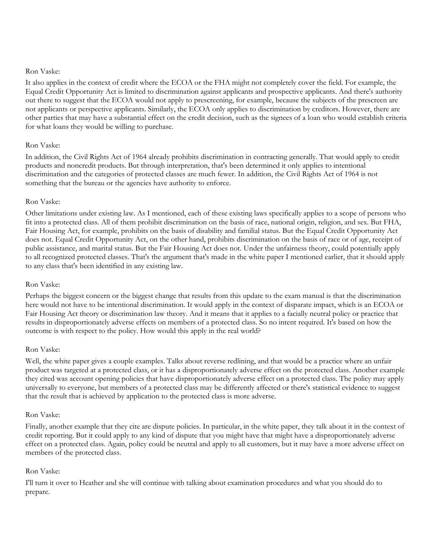#### Ron Vaske:

It also applies in the context of credit where the ECOA or the FHA might not completely cover the field. For example, the Equal Credit Opportunity Act is limited to discrimination against applicants and prospective applicants. And there's authority out there to suggest that the ECOA would not apply to prescreening, for example, because the subjects of the prescreen are not applicants or perspective applicants. Similarly, the ECOA only applies to discrimination by creditors. However, there are other parties that may have a substantial effect on the credit decision, such as the signees of a loan who would establish criteria for what loans they would be willing to purchase.

# Ron Vaske:

In addition, the Civil Rights Act of 1964 already prohibits discrimination in contracting generally. That would apply to credit products and noncredit products. But through interpretation, that's been determined it only applies to intentional discrimination and the categories of protected classes are much fewer. In addition, the Civil Rights Act of 1964 is not something that the bureau or the agencies have authority to enforce.

#### Ron Vaske:

Other limitations under existing law. As I mentioned, each of these existing laws specifically applies to a scope of persons who fit into a protected class. All of them prohibit discrimination on the basis of race, national origin, religion, and sex. But FHA, Fair Housing Act, for example, prohibits on the basis of disability and familial status. But the Equal Credit Opportunity Act does not. Equal Credit Opportunity Act, on the other hand, prohibits discrimination on the basis of race or of age, receipt of public assistance, and marital status. But the Fair Housing Act does not. Under the unfairness theory, could potentially apply to all recognized protected classes. That's the argument that's made in the white paper I mentioned earlier, that it should apply to any class that's been identified in any existing law.

# Ron Vaske:

Perhaps the biggest concern or the biggest change that results from this update to the exam manual is that the discrimination here would not have to be intentional discrimination. It would apply in the context of disparate impact, which is an ECOA or Fair Housing Act theory or discrimination law theory. And it means that it applies to a facially neutral policy or practice that results in disproportionately adverse effects on members of a protected class. So no intent required. It's based on how the outcome is with respect to the policy. How would this apply in the real world?

#### Ron Vaske:

Well, the white paper gives a couple examples. Talks about reverse redlining, and that would be a practice where an unfair product was targeted at a protected class, or it has a disproportionately adverse effect on the protected class. Another example they cited was account opening policies that have disproportionately adverse effect on a protected class. The policy may apply universally to everyone, but members of a protected class may be differently affected or there's statistical evidence to suggest that the result that is achieved by application to the protected class is more adverse.

# Ron Vaske:

Finally, another example that they cite are dispute policies. In particular, in the white paper, they talk about it in the context of credit reporting. But it could apply to any kind of dispute that you might have that might have a disproportionately adverse effect on a protected class. Again, policy could be neutral and apply to all customers, but it may have a more adverse effect on members of the protected class.

# Ron Vaske:

I'll turn it over to Heather and she will continue with talking about examination procedures and what you should do to prepare.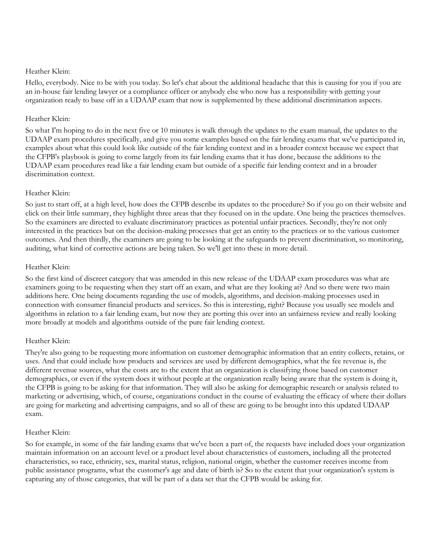Hello, everybody. Nice to be with you today. So let's chat about the additional headache that this is causing for you if you are an in-house fair lending lawyer or a compliance officer or anybody else who now has a responsibility with getting your organization ready to base off in a UDAAP exam that now is supplemented by these additional discrimination aspects.

# Heather Klein:

So what I'm hoping to do in the next five or 10 minutes is walk through the updates to the exam manual, the updates to the UDAAP exam procedures specifically, and give you some examples based on the fair lending exams that we've participated in, examples about what this could look like outside of the fair lending context and in a broader context because we expect that the CFPB's playbook is going to come largely from its fair lending exams that it has done, because the additions to the UDAAP exam procedures read like a fair lending exam but outside of a specific fair lending context and in a broader discrimination context.

# Heather Klein:

So just to start off, at a high level, how does the CFPB describe its updates to the procedure? So if you go on their website and click on their little summary, they highlight three areas that they focused on in the update. One being the practices themselves. So the examiners are directed to evaluate discriminatory practices as potential unfair practices. Secondly, they're not only interested in the practices but on the decision-making processes that get an entity to the practices or to the various customer outcomes. And then thirdly, the examiners are going to be looking at the safeguards to prevent discrimination, so monitoring, auditing, what kind of corrective actions are being taken. So we'll get into these in more detail.

# Heather Klein:

So the first kind of discreet category that was amended in this new release of the UDAAP exam procedures was what are examiners going to be requesting when they start off an exam, and what are they looking at? And so there were two main additions here. One being documents regarding the use of models, algorithms, and decision-making processes used in connection with consumer financial products and services. So this is interesting, right? Because you usually see models and algorithms in relation to a fair lending exam, but now they are porting this over into an unfairness review and really looking more broadly at models and algorithms outside of the pure fair lending context.

# Heather Klein:

They're also going to be requesting more information on customer demographic information that an entity collects, retains, or uses. And that could include how products and services are used by different demographics, what the fee revenue is, the different revenue sources, what the costs are to the extent that an organization is classifying those based on customer demographics, or even if the system does it without people at the organization really being aware that the system is doing it, the CFPB is going to be asking for that information. They will also be asking for demographic research or analysis related to marketing or advertising, which, of course, organizations conduct in the course of evaluating the efficacy of where their dollars are going for marketing and advertising campaigns, and so all of these are going to be brought into this updated UDAAP exam.

# Heather Klein:

So for example, in some of the fair landing exams that we've been a part of, the requests have included does your organization maintain information on an account level or a product level about characteristics of customers, including all the protected characteristics, so race, ethnicity, sex, marital status, religion, national origin, whether the customer receives income from public assistance programs, what the customer's age and date of birth is? So to the extent that your organization's system is capturing any of those categories, that will be part of a data set that the CFPB would be asking for.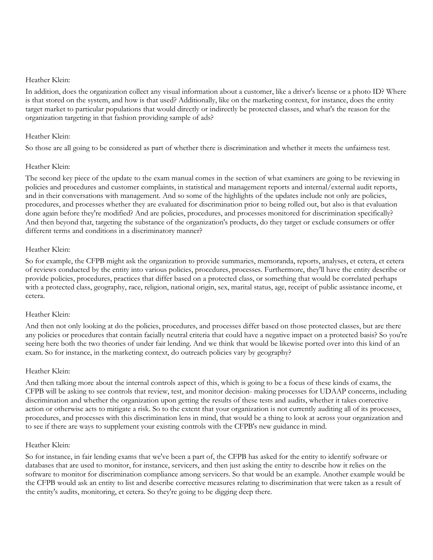In addition, does the organization collect any visual information about a customer, like a driver's license or a photo ID? Where is that stored on the system, and how is that used? Additionally, like on the marketing context, for instance, does the entity target market to particular populations that would directly or indirectly be protected classes, and what's the reason for the organization targeting in that fashion providing sample of ads?

#### Heather Klein:

So those are all going to be considered as part of whether there is discrimination and whether it meets the unfairness test.

#### Heather Klein:

The second key piece of the update to the exam manual comes in the section of what examiners are going to be reviewing in policies and procedures and customer complaints, in statistical and management reports and internal/external audit reports, and in their conversations with management. And so some of the highlights of the updates include not only are policies, procedures, and processes whether they are evaluated for discrimination prior to being rolled out, but also is that evaluation done again before they're modified? And are policies, procedures, and processes monitored for discrimination specifically? And then beyond that, targeting the substance of the organization's products, do they target or exclude consumers or offer different terms and conditions in a discriminatory manner?

#### Heather Klein:

So for example, the CFPB might ask the organization to provide summaries, memoranda, reports, analyses, et cetera, et cetera of reviews conducted by the entity into various policies, procedures, processes. Furthermore, they'll have the entity describe or provide policies, procedures, practices that differ based on a protected class, or something that would be correlated perhaps with a protected class, geography, race, religion, national origin, sex, marital status, age, receipt of public assistance income, et cetera.

#### Heather Klein:

And then not only looking at do the policies, procedures, and processes differ based on those protected classes, but are there any policies or procedures that contain facially neutral criteria that could have a negative impact on a protected basis? So you're seeing here both the two theories of under fair lending. And we think that would be likewise ported over into this kind of an exam. So for instance, in the marketing context, do outreach policies vary by geography?

#### Heather Klein:

And then talking more about the internal controls aspect of this, which is going to be a focus of these kinds of exams, the CFPB will be asking to see controls that review, test, and monitor decision- making processes for UDAAP concerns, including discrimination and whether the organization upon getting the results of these tests and audits, whether it takes corrective action or otherwise acts to mitigate a risk. So to the extent that your organization is not currently auditing all of its processes, procedures, and processes with this discrimination lens in mind, that would be a thing to look at across your organization and to see if there are ways to supplement your existing controls with the CFPB's new guidance in mind.

#### Heather Klein:

So for instance, in fair lending exams that we've been a part of, the CFPB has asked for the entity to identify software or databases that are used to monitor, for instance, servicers, and then just asking the entity to describe how it relies on the software to monitor for discrimination compliance among servicers. So that would be an example. Another example would be the CFPB would ask an entity to list and describe corrective measures relating to discrimination that were taken as a result of the entity's audits, monitoring, et cetera. So they're going to be digging deep there.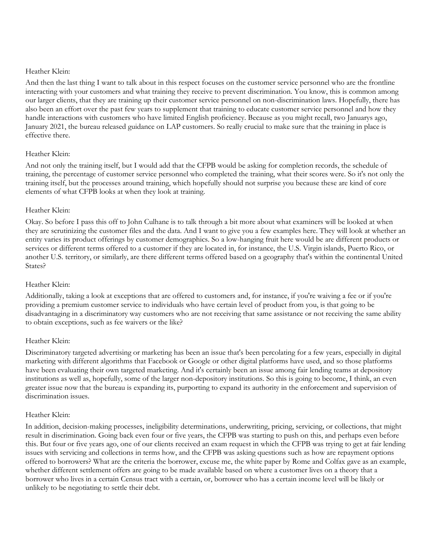And then the last thing I want to talk about in this respect focuses on the customer service personnel who are the frontline interacting with your customers and what training they receive to prevent discrimination. You know, this is common among our larger clients, that they are training up their customer service personnel on non-discrimination laws. Hopefully, there has also been an effort over the past few years to supplement that training to educate customer service personnel and how they handle interactions with customers who have limited English proficiency. Because as you might recall, two Januarys ago, January 2021, the bureau released guidance on LAP customers. So really crucial to make sure that the training in place is effective there.

# Heather Klein:

And not only the training itself, but I would add that the CFPB would be asking for completion records, the schedule of training, the percentage of customer service personnel who completed the training, what their scores were. So it's not only the training itself, but the processes around training, which hopefully should not surprise you because these are kind of core elements of what CFPB looks at when they look at training.

# Heather Klein:

Okay. So before I pass this off to John Culhane is to talk through a bit more about what examiners will be looked at when they are scrutinizing the customer files and the data. And I want to give you a few examples here. They will look at whether an entity varies its product offerings by customer demographics. So a low-hanging fruit here would be are different products or services or different terms offered to a customer if they are located in, for instance, the U.S. Virgin islands, Puerto Rico, or another U.S. territory, or similarly, are there different terms offered based on a geography that's within the continental United States?

## Heather Klein:

Additionally, taking a look at exceptions that are offered to customers and, for instance, if you're waiving a fee or if you're providing a premium customer service to individuals who have certain level of product from you, is that going to be disadvantaging in a discriminatory way customers who are not receiving that same assistance or not receiving the same ability to obtain exceptions, such as fee waivers or the like?

# Heather Klein:

Discriminatory targeted advertising or marketing has been an issue that's been percolating for a few years, especially in digital marketing with different algorithms that Facebook or Google or other digital platforms have used, and so those platforms have been evaluating their own targeted marketing. And it's certainly been an issue among fair lending teams at depository institutions as well as, hopefully, some of the larger non-depository institutions. So this is going to become, I think, an even greater issue now that the bureau is expanding its, purporting to expand its authority in the enforcement and supervision of discrimination issues.

#### Heather Klein:

In addition, decision-making processes, ineligibility determinations, underwriting, pricing, servicing, or collections, that might result in discrimination. Going back even four or five years, the CFPB was starting to push on this, and perhaps even before this. But four or five years ago, one of our clients received an exam request in which the CFPB was trying to get at fair lending issues with servicing and collections in terms how, and the CFPB was asking questions such as how are repayment options offered to borrowers? What are the criteria the borrower, excuse me, the white paper by Rome and Colfax gave as an example, whether different settlement offers are going to be made available based on where a customer lives on a theory that a borrower who lives in a certain Census tract with a certain, or, borrower who has a certain income level will be likely or unlikely to be negotiating to settle their debt.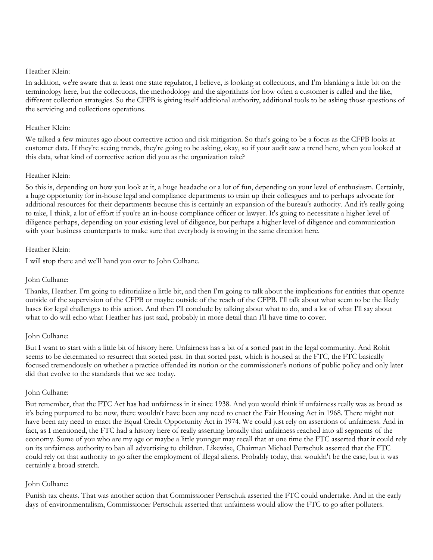In addition, we're aware that at least one state regulator, I believe, is looking at collections, and I'm blanking a little bit on the terminology here, but the collections, the methodology and the algorithms for how often a customer is called and the like, different collection strategies. So the CFPB is giving itself additional authority, additional tools to be asking those questions of the servicing and collections operations.

## Heather Klein:

We talked a few minutes ago about corrective action and risk mitigation. So that's going to be a focus as the CFPB looks at customer data. If they're seeing trends, they're going to be asking, okay, so if your audit saw a trend here, when you looked at this data, what kind of corrective action did you as the organization take?

# Heather Klein:

So this is, depending on how you look at it, a huge headache or a lot of fun, depending on your level of enthusiasm. Certainly, a huge opportunity for in-house legal and compliance departments to train up their colleagues and to perhaps advocate for additional resources for their departments because this is certainly an expansion of the bureau's authority. And it's really going to take, I think, a lot of effort if you're an in-house compliance officer or lawyer. It's going to necessitate a higher level of diligence perhaps, depending on your existing level of diligence, but perhaps a higher level of diligence and communication with your business counterparts to make sure that everybody is rowing in the same direction here.

#### Heather Klein:

I will stop there and we'll hand you over to John Culhane.

#### John Culhane:

Thanks, Heather. I'm going to editorialize a little bit, and then I'm going to talk about the implications for entities that operate outside of the supervision of the CFPB or maybe outside of the reach of the CFPB. I'll talk about what seem to be the likely bases for legal challenges to this action. And then I'll conclude by talking about what to do, and a lot of what I'll say about what to do will echo what Heather has just said, probably in more detail than I'll have time to cover.

# John Culhane:

But I want to start with a little bit of history here. Unfairness has a bit of a sorted past in the legal community. And Rohit seems to be determined to resurrect that sorted past. In that sorted past, which is housed at the FTC, the FTC basically focused tremendously on whether a practice offended its notion or the commissioner's notions of public policy and only later did that evolve to the standards that we see today.

#### John Culhane:

But remember, that the FTC Act has had unfairness in it since 1938. And you would think if unfairness really was as broad as it's being purported to be now, there wouldn't have been any need to enact the Fair Housing Act in 1968. There might not have been any need to enact the Equal Credit Opportunity Act in 1974. We could just rely on assertions of unfairness. And in fact, as I mentioned, the FTC had a history here of really asserting broadly that unfairness reached into all segments of the economy. Some of you who are my age or maybe a little younger may recall that at one time the FTC asserted that it could rely on its unfairness authority to ban all advertising to children. Likewise, Chairman Michael Pertschuk asserted that the FTC could rely on that authority to go after the employment of illegal aliens. Probably today, that wouldn't be the case, but it was certainly a broad stretch.

# John Culhane:

Punish tax cheats. That was another action that Commissioner Pertschuk asserted the FTC could undertake. And in the early days of environmentalism, Commissioner Pertschuk asserted that unfairness would allow the FTC to go after polluters.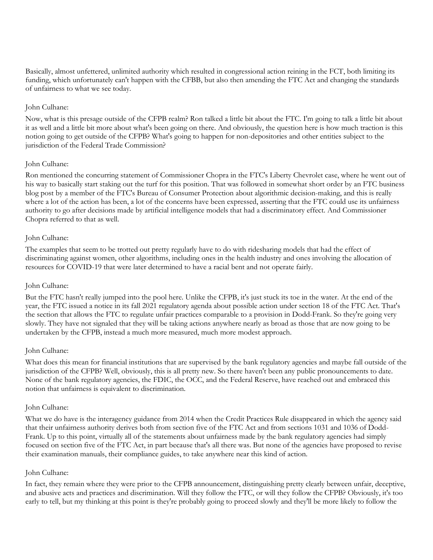Basically, almost unfettered, unlimited authority which resulted in congressional action reining in the FCT, both limiting its funding, which unfortunately can't happen with the CFBB, but also then amending the FTC Act and changing the standards of unfairness to what we see today.

## John Culhane:

Now, what is this presage outside of the CFPB realm? Ron talked a little bit about the FTC. I'm going to talk a little bit about it as well and a little bit more about what's been going on there. And obviously, the question here is how much traction is this notion going to get outside of the CFPB? What's going to happen for non-depositories and other entities subject to the jurisdiction of the Federal Trade Commission?

#### John Culhane:

Ron mentioned the concurring statement of Commissioner Chopra in the FTC's Liberty Chevrolet case, where he went out of his way to basically start staking out the turf for this position. That was followed in somewhat short order by an FTC business blog post by a member of the FTC's Bureau of Consumer Protection about algorithmic decision-making, and this is really where a lot of the action has been, a lot of the concerns have been expressed, asserting that the FTC could use its unfairness authority to go after decisions made by artificial intelligence models that had a discriminatory effect. And Commissioner Chopra referred to that as well.

#### John Culhane:

The examples that seem to be trotted out pretty regularly have to do with ridesharing models that had the effect of discriminating against women, other algorithms, including ones in the health industry and ones involving the allocation of resources for COVID-19 that were later determined to have a racial bent and not operate fairly.

# John Culhane:

But the FTC hasn't really jumped into the pool here. Unlike the CFPB, it's just stuck its toe in the water. At the end of the year, the FTC issued a notice in its fall 2021 regulatory agenda about possible action under section 18 of the FTC Act. That's the section that allows the FTC to regulate unfair practices comparable to a provision in Dodd-Frank. So they're going very slowly. They have not signaled that they will be taking actions anywhere nearly as broad as those that are now going to be undertaken by the CFPB, instead a much more measured, much more modest approach.

# John Culhane:

What does this mean for financial institutions that are supervised by the bank regulatory agencies and maybe fall outside of the jurisdiction of the CFPB? Well, obviously, this is all pretty new. So there haven't been any public pronouncements to date. None of the bank regulatory agencies, the FDIC, the OCC, and the Federal Reserve, have reached out and embraced this notion that unfairness is equivalent to discrimination.

#### John Culhane:

What we do have is the interagency guidance from 2014 when the Credit Practices Rule disappeared in which the agency said that their unfairness authority derives both from section five of the FTC Act and from sections 1031 and 1036 of Dodd-Frank. Up to this point, virtually all of the statements about unfairness made by the bank regulatory agencies had simply focused on section five of the FTC Act, in part because that's all there was. But none of the agencies have proposed to revise their examination manuals, their compliance guides, to take anywhere near this kind of action.

#### John Culhane:

In fact, they remain where they were prior to the CFPB announcement, distinguishing pretty clearly between unfair, deceptive, and abusive acts and practices and discrimination. Will they follow the FTC, or will they follow the CFPB? Obviously, it's too early to tell, but my thinking at this point is they're probably going to proceed slowly and they'll be more likely to follow the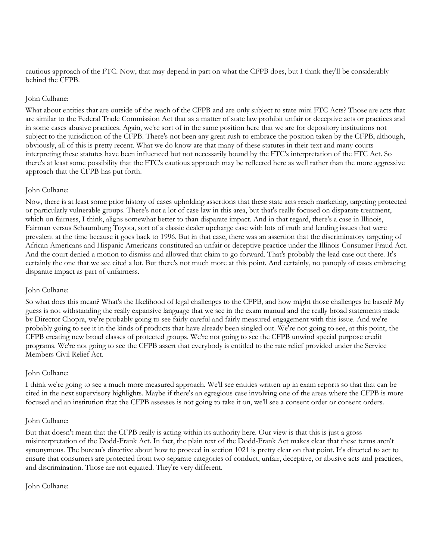cautious approach of the FTC. Now, that may depend in part on what the CFPB does, but I think they'll be considerably behind the CFPB.

#### John Culhane:

What about entities that are outside of the reach of the CFPB and are only subject to state mini FTC Acts? Those are acts that are similar to the Federal Trade Commission Act that as a matter of state law prohibit unfair or deceptive acts or practices and in some cases abusive practices. Again, we're sort of in the same position here that we are for depository institutions not subject to the jurisdiction of the CFPB. There's not been any great rush to embrace the position taken by the CFPB, although, obviously, all of this is pretty recent. What we do know are that many of these statutes in their text and many courts interpreting these statutes have been influenced but not necessarily bound by the FTC's interpretation of the FTC Act. So there's at least some possibility that the FTC's cautious approach may be reflected here as well rather than the more aggressive approach that the CFPB has put forth.

#### John Culhane:

Now, there is at least some prior history of cases upholding assertions that these state acts reach marketing, targeting protected or particularly vulnerable groups. There's not a lot of case law in this area, but that's really focused on disparate treatment, which on fairness, I think, aligns somewhat better to than disparate impact. And in that regard, there's a case in Illinois, Fairman versus Schaumburg Toyota, sort of a classic dealer upcharge case with lots of truth and lending issues that were prevalent at the time because it goes back to 1996. But in that case, there was an assertion that the discriminatory targeting of African Americans and Hispanic Americans constituted an unfair or deceptive practice under the Illinois Consumer Fraud Act. And the court denied a motion to dismiss and allowed that claim to go forward. That's probably the lead case out there. It's certainly the one that we see cited a lot. But there's not much more at this point. And certainly, no panoply of cases embracing disparate impact as part of unfairness.

# John Culhane:

So what does this mean? What's the likelihood of legal challenges to the CFPB, and how might those challenges be based? My guess is not withstanding the really expansive language that we see in the exam manual and the really broad statements made by Director Chopra, we're probably going to see fairly careful and fairly measured engagement with this issue. And we're probably going to see it in the kinds of products that have already been singled out. We're not going to see, at this point, the CFPB creating new broad classes of protected groups. We're not going to see the CFPB unwind special purpose credit programs. We're not going to see the CFPB assert that everybody is entitled to the rate relief provided under the Service Members Civil Relief Act.

# John Culhane:

I think we're going to see a much more measured approach. We'll see entities written up in exam reports so that that can be cited in the next supervisory highlights. Maybe if there's an egregious case involving one of the areas where the CFPB is more focused and an institution that the CFPB assesses is not going to take it on, we'll see a consent order or consent orders.

#### John Culhane:

But that doesn't mean that the CFPB really is acting within its authority here. Our view is that this is just a gross misinterpretation of the Dodd-Frank Act. In fact, the plain text of the Dodd-Frank Act makes clear that these terms aren't synonymous. The bureau's directive about how to proceed in section 1021 is pretty clear on that point. It's directed to act to ensure that consumers are protected from two separate categories of conduct, unfair, deceptive, or abusive acts and practices, and discrimination. Those are not equated. They're very different.

#### John Culhane: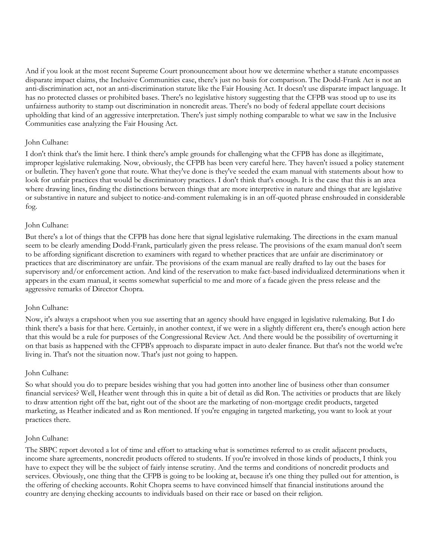And if you look at the most recent Supreme Court pronouncement about how we determine whether a statute encompasses disparate impact claims, the Inclusive Communities case, there's just no basis for comparison. The Dodd-Frank Act is not an anti-discrimination act, not an anti-discrimination statute like the Fair Housing Act. It doesn't use disparate impact language. It has no protected classes or prohibited bases. There's no legislative history suggesting that the CFPB was stood up to use its unfairness authority to stamp out discrimination in noncredit areas. There's no body of federal appellate court decisions upholding that kind of an aggressive interpretation. There's just simply nothing comparable to what we saw in the Inclusive Communities case analyzing the Fair Housing Act.

#### John Culhane:

I don't think that's the limit here. I think there's ample grounds for challenging what the CFPB has done as illegitimate, improper legislative rulemaking. Now, obviously, the CFPB has been very careful here. They haven't issued a policy statement or bulletin. They haven't gone that route. What they've done is they've seeded the exam manual with statements about how to look for unfair practices that would be discriminatory practices. I don't think that's enough. It is the case that this is an area where drawing lines, finding the distinctions between things that are more interpretive in nature and things that are legislative or substantive in nature and subject to notice-and-comment rulemaking is in an off-quoted phrase enshrouded in considerable fog.

#### John Culhane:

But there's a lot of things that the CFPB has done here that signal legislative rulemaking. The directions in the exam manual seem to be clearly amending Dodd-Frank, particularly given the press release. The provisions of the exam manual don't seem to be affording significant discretion to examiners with regard to whether practices that are unfair are discriminatory or practices that are discriminatory are unfair. The provisions of the exam manual are really drafted to lay out the bases for supervisory and/or enforcement action. And kind of the reservation to make fact-based individualized determinations when it appears in the exam manual, it seems somewhat superficial to me and more of a facade given the press release and the aggressive remarks of Director Chopra.

# John Culhane:

Now, it's always a crapshoot when you sue asserting that an agency should have engaged in legislative rulemaking. But I do think there's a basis for that here. Certainly, in another context, if we were in a slightly different era, there's enough action here that this would be a rule for purposes of the Congressional Review Act. And there would be the possibility of overturning it on that basis as happened with the CFPB's approach to disparate impact in auto dealer finance. But that's not the world we're living in. That's not the situation now. That's just not going to happen.

# John Culhane:

So what should you do to prepare besides wishing that you had gotten into another line of business other than consumer financial services? Well, Heather went through this in quite a bit of detail as did Ron. The activities or products that are likely to draw attention right off the bat, right out of the shoot are the marketing of non-mortgage credit products, targeted marketing, as Heather indicated and as Ron mentioned. If you're engaging in targeted marketing, you want to look at your practices there.

#### John Culhane:

The SBPC report devoted a lot of time and effort to attacking what is sometimes referred to as credit adjacent products, income share agreements, noncredit products offered to students. If you're involved in those kinds of products, I think you have to expect they will be the subject of fairly intense scrutiny. And the terms and conditions of noncredit products and services. Obviously, one thing that the CFPB is going to be looking at, because it's one thing they pulled out for attention, is the offering of checking accounts. Rohit Chopra seems to have convinced himself that financial institutions around the country are denying checking accounts to individuals based on their race or based on their religion.